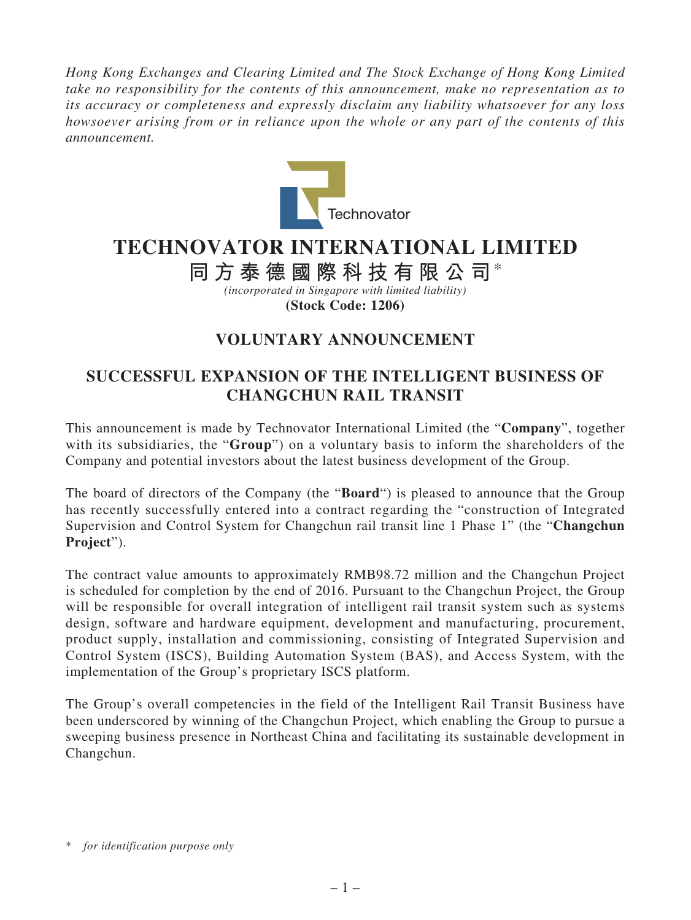*Hong Kong Exchanges and Clearing Limited and The Stock Exchange of Hong Kong Limited take no responsibility for the contents of this announcement, make no representation as to its accuracy or completeness and expressly disclaim any liability whatsoever for any loss howsoever arising from or in reliance upon the whole or any part of the contents of this announcement.*



## **TECHNOVATOR INTERNATIONAL LIMITED**

**同方泰德國際科技有限公司**\*

*(incorporated in Singapore with limited liability)* **(Stock Code: 1206)**

## **VOLUNTARY ANNOUNCEMENT**

## **SUCCESSFUL EXPANSION OF THE INTELLIGENT BUSINESS OF CHANGCHUN RAIL TRANSIT**

This announcement is made by Technovator International Limited (the "**Company**", together with its subsidiaries, the "**Group**") on a voluntary basis to inform the shareholders of the Company and potential investors about the latest business development of the Group.

The board of directors of the Company (the "**Board**") is pleased to announce that the Group has recently successfully entered into a contract regarding the "construction of Integrated Supervision and Control System for Changchun rail transit line 1 Phase 1" (the "**Changchun Project**").

The contract value amounts to approximately RMB98.72 million and the Changchun Project is scheduled for completion by the end of 2016. Pursuant to the Changchun Project, the Group will be responsible for overall integration of intelligent rail transit system such as systems design, software and hardware equipment, development and manufacturing, procurement, product supply, installation and commissioning, consisting of Integrated Supervision and Control System (ISCS), Building Automation System (BAS), and Access System, with the implementation of the Group's proprietary ISCS platform.

The Group's overall competencies in the field of the Intelligent Rail Transit Business have been underscored by winning of the Changchun Project, which enabling the Group to pursue a sweeping business presence in Northeast China and facilitating its sustainable development in Changchun.

<sup>\*</sup> *for identification purpose only*